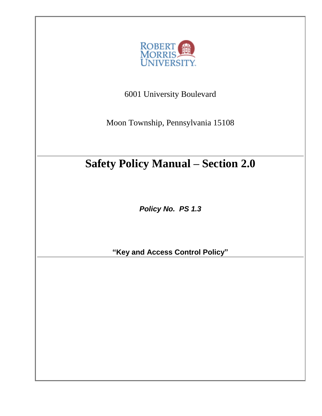

6001 University Boulevard

Moon Township, Pennsylvania 15108

# **Safety Policy Manual – Section 2.0**

*Policy No. PS 1.3*

**"Key and Access Control Policy"**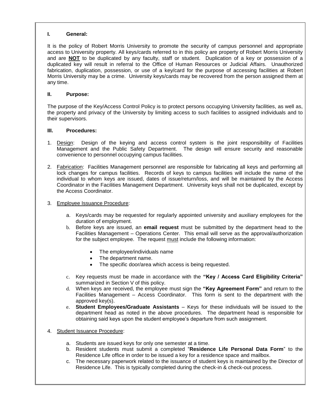#### **I. General:**

It is the policy of Robert Morris University to promote the security of campus personnel and appropriate access to University property. All keys/cards referred to in this policy are property of Robert Morris University and are **NOT** to be duplicated by any faculty, staff or student. Duplication of a key or possession of a duplicated key will result in referral to the Office of Human Resources or Judicial Affairs. Unauthorized fabrication, duplication, possession, or use of a key/card for the purpose of accessing facilities at Robert Morris University may be a crime. University keys/cards may be recovered from the person assigned them at any time.

#### **II. Purpose:**

The purpose of the Key/Access Control Policy is to protect persons occupying University facilities, as well as, the property and privacy of the University by limiting access to such facilities to assigned individuals and to their supervisors.

#### **III. Procedures:**

- 1. Design: Design of the keying and access control system is the joint responsibility of Facilities Management and the Public Safety Department. The design will ensure security and reasonable convenience to personnel occupying campus facilities.
- 2. Fabrication: Facilities Management personnel are responsible for fabricating all keys and performing all lock changes for campus facilities. Records of keys to campus facilities will include the name of the individual to whom keys are issued, dates of issue/return/loss, and will be maintained by the Access Coordinator in the Facilities Management Department. University keys shall not be duplicated, except by the Access Coordinator.
- 3. Employee Issuance Procedure:
	- a. Keys/cards may be requested for regularly appointed university and auxiliary employees for the duration of employment.
	- b. Before keys are issued, an **email request** must be submitted by the department head to the Facilities Management – Operations Center. This email will serve as the approval/authorization for the subject employee. The request must include the following information:
		- The employee/individuals name
		- The department name.
		- The specific door/area which access is being requested.
	- c. Key requests must be made in accordance with the **"Key / Access Card Eligibility Criteria"** summarized in Section V of this policy.
	- d. When keys are received, the employee must sign the **"Key Agreement Form"** and return to the Facilities Management – Access Coordinator. This form is sent to the department with the approved key(s).
	- e. **Student Employees/Graduate Assistants** Keys for these individuals will be issued to the department head as noted in the above procedures. The department head is responsible for obtaining said keys upon the student employee's departure from such assignment.
- 4. Student Issuance Procedure:
	- a. Students are issued keys for only one semester at a time.
	- b. Resident students must submit a completed "**Residence Life Personal Data Form**" to the Residence Life office in order to be issued a key for a residence space and mailbox.
	- c. The necessary paperwork related to the issuance of student keys is maintained by the Director of Residence Life. This is typically completed during the check-in & check-out process.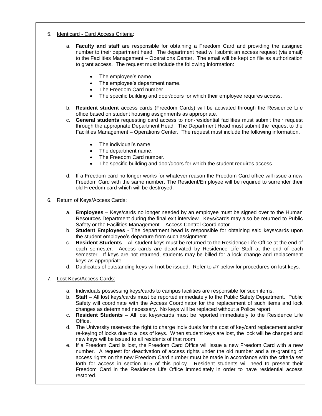- 5. Identicard Card Access Criteria:
	- a. **Faculty and staff** are responsible for obtaining a Freedom Card and providing the assigned number to their department head. The department head will submit an access request (via email) to the Facilities Management – Operations Center. The email will be kept on file as authorization to grant access. The request must include the following information:
		- The employee's name.
		- The employee's department name.
		- The Freedom Card number.
		- The specific building and door/doors for which their employee requires access.
	- b. **Resident student** access cards (Freedom Cards) will be activated through the Residence Life office based on student housing assignments as appropriate.
	- c. **General students** requesting card access to non-residential facilities must submit their request through the appropriate Department Head. The Department Head must submit the request to the Facilities Management – Operations Center. The request must include the following information.
		- The individual's name
		- The department name.
		- The Freedom Card number.
		- The specific building and door/doors for which the student requires access.
	- d. If a Freedom card no longer works for whatever reason the Freedom Card office will issue a new Freedom Card with the same number. The Resident/Employee will be required to surrender their old Freedom card which will be destroyed.

#### 6. Return of Keys/Access Cards:

- a. **Employees** Keys/cards no longer needed by an employee must be signed over to the Human Resources Department during the final exit interview. Keys/cards may also be returned to Public Safety or the Facilities Management – Access Control Coordinator.
- b. **Student Employees** The department head is responsible for obtaining said keys/cards upon the student employee's departure from such assignment.
- c. **Resident Students**  All student keys must be returned to the Residence Life Office at the end of each semester. Access cards are deactivated by Residence Life Staff at the end of each semester. If keys are not returned, students may be billed for a lock change and replacement keys as appropriate.
- d. Duplicates of outstanding keys will not be issued. Refer to #7 below for procedures on lost keys.

## 7. Lost Keys/Access Cards:

- a. Individuals possessing keys/cards to campus facilities are responsible for such items.
- b. **Staff**  All lost keys/cards must be reported immediately to the Public Safety Department. Public Safety will coordinate with the Access Coordinator for the replacement of such items and lock changes as determined necessary. No keys will be replaced without a Police report.
- c. **Resident Students** All lost keys/cards must be reported immediately to the Residence Life Office.
- d. The University reserves the right to charge individuals for the cost of key/card replacement and/or re-keying of locks due to a loss of keys. When student keys are lost, the lock will be changed and new keys will be issued to all residents of that room.
- e. If a Freedom Card is lost, the Freedom Card Office will issue a new Freedom Card with a new number. A request for deactivation of access rights under the old number and a re-granting of access rights on the new Freedom Card number must be made in accordance with the criteria set forth for access in section III.5 of this policy. Resident students will need to present their Freedom Card in the Residence Life Office immediately in order to have residential access restored.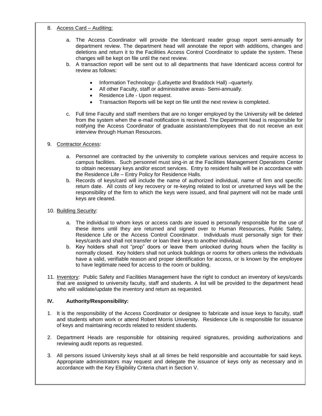#### 8. Access Card – Auditing:

- a. The Access Coordinator will provide the Identicard reader group report semi-annually for department review. The department head will annotate the report with additions, changes and deletions and return it to the Facilities Access Control Coordinator to update the system. These changes will be kept on file until the next review.
- b. A transaction report will be sent out to all departments that have Identicard access control for review as follows:
	- Information Technology- (Lafayette and Braddock Hall) –quarterly.
	- All other Faculty, staff or administrative areas- Semi-annually.
	- Residence Life Upon request.
	- Transaction Reports will be kept on file until the next review is completed.
- c. Full time Faculty and staff members that are no longer employed by the University will be deleted from the system when the e-mail notification is received. The Department head is responsible for notifying the Access Coordinator of graduate assistants\employees that do not receive an exit interview through Human Resources.

## 9. Contractor Access:

- a. Personnel are contracted by the university to complete various services and require access to campus facilities. Such personnel must sing-in at the Facilities Management Operations Center to obtain necessary keys and/or escort services. Entry to resident halls will be in accordance with the Residence Life – Entry Policy for Residence Halls.
- b. Records of keys/card will include the name of authorized individual, name of firm and specific return date. All costs of key recovery or re-keying related to lost or unreturned keys will be the responsibility of the firm to which the keys were issued, and final payment will not be made until keys are cleared.
- 10. Building Security:
	- a. The individual to whom keys or access cards are issued is personally responsible for the use of these items until they are returned and signed over to Human Resources, Public Safety, Residence Life or the Access Control Coordinator. Individuals must personally sign for their keys/cards and shall not transfer or loan their keys to another individual.
	- b. Key holders shall not "prop" doors or leave them unlocked during hours when the facility is normally closed. Key holders shall not unlock buildings or rooms for others unless the individuals have a valid, verifiable reason and proper identification for access, or is known by the employee to have legitimate need for access to the room or building.
- 11. Inventory: Public Safety and Facilities Management have the right to conduct an inventory of keys/cards that are assigned to university faculty, staff and students. A list will be provided to the department head who will validate/update the inventory and return as requested.

## **IV. Authority/Responsibility:**

- 1. It is the responsibility of the Access Coordinator or designee to fabricate and issue keys to faculty, staff and students whom work or attend Robert Morris University. Residence Life is responsible for issuance of keys and maintaining records related to resident students.
- 2. Department Heads are responsible for obtaining required signatures, providing authorizations and reviewing audit reports as requested.
- 3. All persons issued University keys shall at all times be held responsible and accountable for said keys. Appropriate administrators may request and delegate the issuance of keys only as necessary and in accordance with the Key Eligibility Criteria chart in Section V.